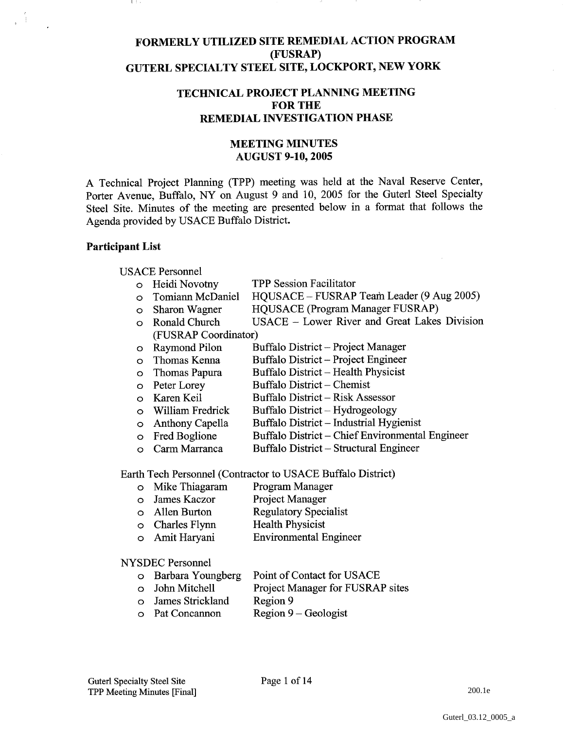# **FORMERLY UTILIZED SITE REMEDIAL ACTION PROGRAM (FUSRAP) GUTERL SPECIALTY STEEL SITE, LOCKPORT, NEW YORK**

# **TECHNICAL PROJECT PLANNING MEETING FOR THE REMEDIAL INVESTIGATION PHASE**

# **MEETING MINUTES AUGUST 9-10,2005**

A Technical Project Planning (TIPP) meeting was held at the Naval Reserve Center, Porter Avenue, Buffalo, NY on August 9 and 10, 2005 for the Guterl Steel Specialty Steel Site. Minutes of the meeting are presented below in a format that follows the Agenda provided by USACE Buffalo District.

### **Participant List**

USACE Personnel<br>
o Heidi Novotny

- 
- Heidi Novotny TPP Session Facilitator<br>Tomiann McDaniel HOUSACE FUSRAP o Tomiann McDaniel HQUSACE - FUSRAP Team Leader (9 Aug 2005)<br>
o Sharon Wagner HQUSACE (Program Manager FUSRAP)
- o Sharon Wagner HQUSACE (Program Manager FUSRAP)
- o Ronald Church USACE Lower River and Great Lakes Division (FUSRAP Coordinator)
- o Raymond Pilon Buffalo District Project Manager<br>
o Thomas Kenna Buffalo District Project Engineer
- o Thomas Kenna Buffalo District Project Engineer
- o Thomas Papura Buffalo District Health Physicist<br>
o Peter Lorey Buffalo District Chemist
- 
- o Peter Lorey Buffalo District Chemist<br>
o Karen Keil Buffalo District Risk Ass
- Karen Keil Buffalo District Risk Assessor<br>William Fredrick Buffalo District Hydrogeology
- o William Fredrick Buffalo District Hydrogeology<br>
o Anthony Capella Buffalo District Industrial Hyg
- o Anthony Capella Buffalo District Industrial Hygienist<br>
o Fred Boglione Buffalo District Chief Environmenta o Fred Boglione Buffalo District - Chief Environmental Engineer<br>
o Carm Marranca Buffalo District - Structural Engineer
- o Carm Marranca Buffalo District Structural Engineer

Earth Tech Personnel (Contractor to USACE Buffalo District)

- o Mike Thiagaram Program Manager
- o James Kaczor Project Manager
- o Allen Burton Regulatory Specialist<br>
o Charles Flynn Health Physicist
- $\circ$  Charles Flynn
- o Amit Haryani Environmental Engineer

### NYSDEC Personnel

- o Barbara Youngberg Point of Contact for USACE
- o John Mitchell Project Manager for FUSRAP sites
- o James Strickland Region 9
- o Pat Concannon Region 9 Geologist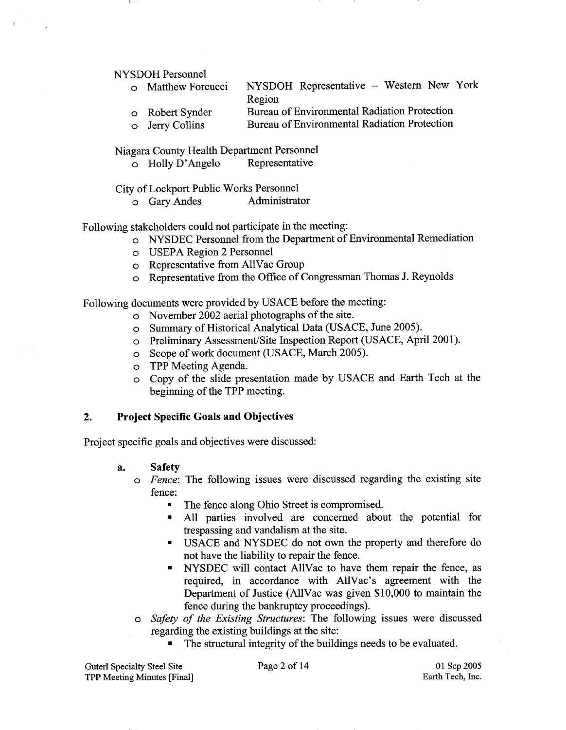NYSDOH Personnel

- o Matthew Forcucci NYSDOH Representative Western New York Region o Robert Synder Bureau of Environmental Radiation Protection
- o Jerry Collins Bureau of Environmental Radiation Protection

Niagara County Health Department Personnel<br>
o Holly D'Angelo Representative

o Holly D'Angelo

City of Lockport Public Works Personnel

o Gary Andes Administrator

Following stakeholders could not participate in the meeting:

- o NYSDEC Personnel from the Department of Environmental Remediation
- o USEPA Region 2 Personnel
- o Representative from AllVac Group
- o Representative from. the Office of Congressman Thomas J. Reynolds

Following documents were provided by USACE before the meeting:

- o November 2002 aerial photographs of the site.
- o Summary of Historical Analytical Data (USACE, June 2005).
- o Preliminary Assessment/Site Inspection Report (USACE, April 2001).
- o Scope of work document (USACE, March 2005).
- o TPP Meeting Agenda.
- o Copy of the slide presentation made by USACE and Earth Tech at the beginning of the TPP meeting.

## 2. Project Specific Goals and Objectives

Project specific goals and objectives were discussed:

### **a. Safety**

- $\circ$  Fence: The following issues were discussed regarding the existing site fence:
	- The fence along Ohio Street is compromised.  $\blacksquare$
	- All parties involved are concerned about the potential for  $\blacksquare$ trespassing and vandalism at the site.
	- USACE and NYSDEC do not own the property and therefore do not have the liability to repair the fence.
	- NYSDEC will contact AllVac to have them repair the fence, as  $\blacksquare$ required, in accordance with A11Vac's agreement with the Department of Justice (A11Vac was given \$10,000 to maintain the fence during the bankruptcy proceedings).
- o Safety of the Existing Structures: The following issues were discussed regarding the existing buildings at the site:
	- The structural integrity of the buildings needs to be evaluated.

Guterl Specialty Steel Site Page **2** of 14 TPP Meeting Minutes [Final]

01 Sep 2005 Earth Tech, Inc.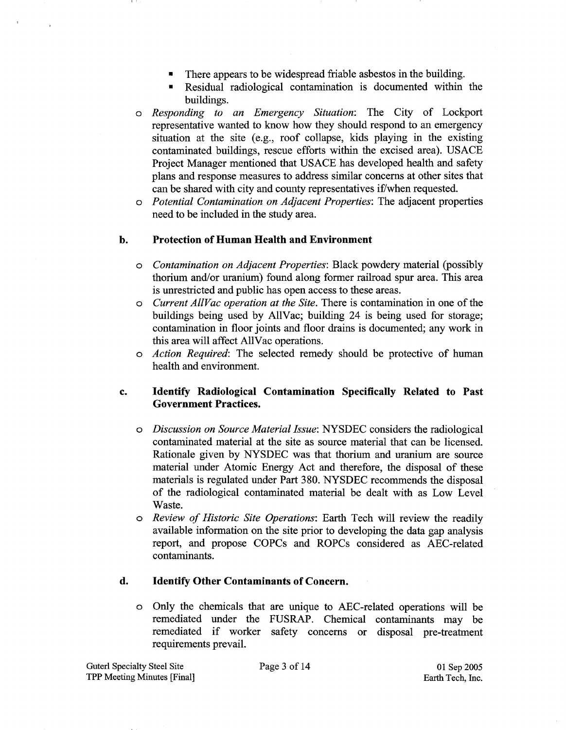- There appears to be widespread friable asbestos in the building.  $\blacksquare$
- Residual radiological contamination is documented within the buildings.
- *o Responding to an Emergency Situation:* The City of Lockport representative wanted to know how they should respond to an emergency situation at the site (e.g., roof collapse, kids playing in the existing contaminated buildings, rescue efforts within the excised area). USACE Project Manager mentioned that USACE has developed health and safety plans and response measures to address similar concerns at other sites that can be shared with city and county representatives if/when requested.
- o *Potential Contamination on Adjacent Properties:* The adjacent properties need to be included in the study area.

## **b. Protection of Human Health and Environment**

- *o Contamination on Adjacent Properties:* Black powdery material (possibly thorium and/or uranium) found along former railroad spur area. This area is unrestricted and public has open access to these areas.
- *o Current AllVac operation at the Site.* There is contamination in one of the buildings being used by A11Vac; building 24 is being used for storage; contamination in floor joints and floor drains is documented; any work in this area will affect AllVac operations.
- *o Action Required:* The selected remedy should be protective of human health and environment.

# **c. Identify Radiological Contamination Specifically Related to Past Government Practices.**

- *o Discussion on Source Material Issue:* NYSDEC considers the ra&ological contaminated material at the site as source material that can be licensed. Rationale given by NYSDEC was that thorium and uranium are source material under Atomic Energy Act and therefore, the disposal of these materials is regulated under Part 380. NYSDEC recommends the disposal of the radiological contaminated material be dealt with as Low Level Waste.
- *o Review of Historic Site Operations:* Earth Tech will review the readily available information on the site prior to developing the data gap analysis report, and propose COPCs and ROPCs considered as AEC-related contaminants.

## **d. Identify Other Contaminants of Concern.**

o Only the chemicals that are unique to AEC-related operations will be remediated under the FUSRAP. Chemical contaminants may be remediated if worker safety concerns or disposal pre-treatment requirements prevail.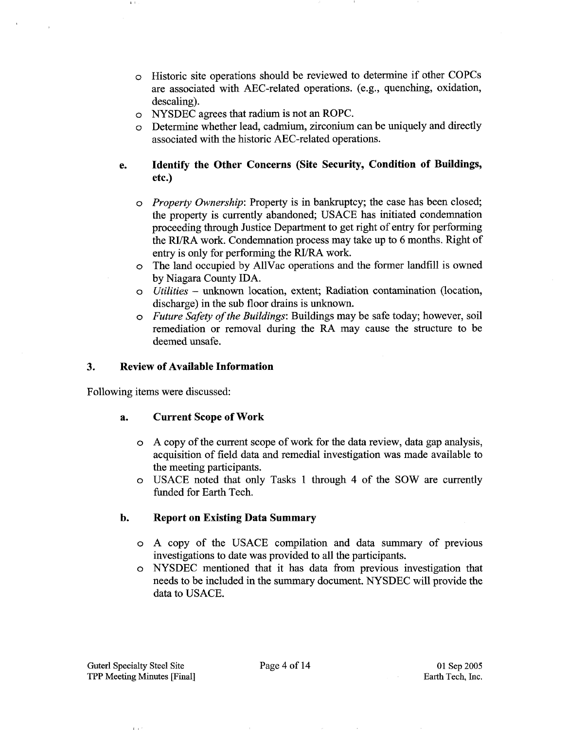- o Historic site operations should be reviewed to determine if other COPCs are associated with AEC-related operations. (e.g., quenching, oxidation, descaling).
- o NYSDEC agrees that radium is not an ROPC.
- Determine whether lead, cadmium, zirconium can be uniquely and directly associated with the historic AEC-related operations.
- **e. Identify the Other Concerns (Site Security, Condition of Buildings, etc.)** 
	- *o Property Ownership:* Property is in bankruptcy; the case has been closed; the property is currently abandoned; USACE has initiated condemnation proceeding through Justice Department to get right of entry for performing the RI/RA work. Condemnation process may take up to 6 months. Right of entry is only for performing the **RVRA** work.
	- o The land occupied Iby AllVac operations and the former landfill is owned by Niagara County IDA.
	- **<sup>o</sup>***Utilities*  unknown location, extent; Radiation contamination (location, discharge) in the sub floor drains is unknown.
	- *o Future Safety of the Buildings:* Buildings may be safe today; however, soil remediation or removal during the **RA** may cause the structure to be deemed unsafe.

### **3. Review of Available Information**

Following items were discussed:

## **a. Current Scope of Work**

- o A copy of the current scope of work for the data review, data gap analysis, acquisition of field data and remedial investigation was made available to the meeting participants.
- o USACE noted that only Tasks 1 through 4 of the SOW are currently funded for Earth Tech.

## **b. Report on Existing Data Summary**

- o A copy of the USACE compilation and data summary of previous investigations to date was provided to all the participants.
- o NYSDEC mentioned that it has data from previous investigation that needs to be included in the summary document. NYSDEC will provide the data to USACE.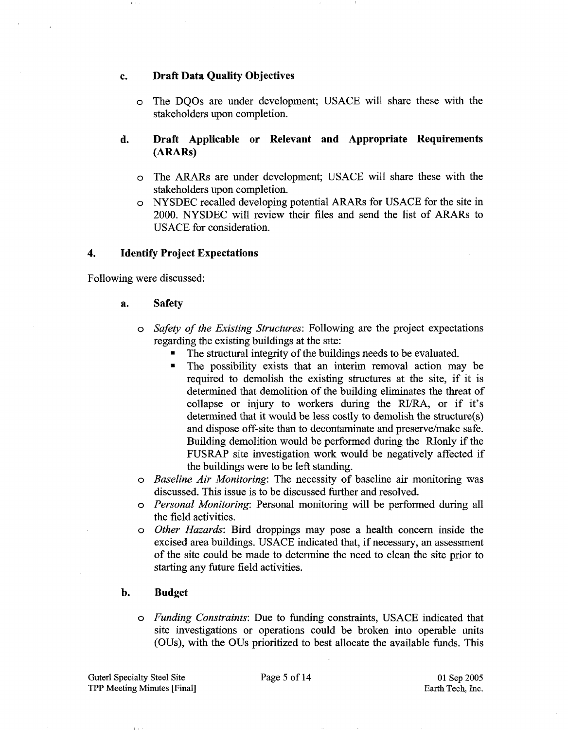### **c. Draft Data Quality Objectives**

o The DQOs are under development; USACE will share these with the stakeholders upon completion.

# **d. Draft Applicable or Relevant and Appropriate Requirements (ARARs)**

- o The ARARs are under development; USACE will share these with the stakeholders upon completion.
- NYSDEC recalled developing potential ARARs for USACE for the site in 2000. NYSDEC will review their files and send the list of ARARs to USACE for consideration.

## **4. Identify Project Expectations**

Following were discussed:

### **a. Safety**

- o Safety of the Existing Structures: Following are the project expectations regarding the existing buildings at the site:
	- The structual integrity of the buildings needs to be evaluated.
	- $\blacksquare$ The possibility exists that an interim removal action may be required to demolish the existing structures at the site, if it is determined that demolition of the building eliminates the threat of collapse or injury to workers during the RI/RA, or if it's determined that it would be less costly to demolish the structure(s) and dispose off-site than to decontaminate and preserve/make safe. Building demolition would be performed during the RIonly if the FUSRAP site investigation work would be negatively affected if the buildings were to be left standing.
- Baseline Air Monitoring: The necessity of baseline air monitoring was discussed. This issue is to be discussed further and resolved.
- o Personal Monitoring: Personal monitoring will be performed during all the field activities.
- o Other Hazards: Bird droppings may pose a health concern inside the excised area buildings. USACE indicated that, if necessary, an assessment of the site could be made to determine the need to clean the site prior to starting any future field activities.

## **b. Budget**

o Funding Constraints: Due to funding constraints, USACE indicated that site investigations or operations could be broken into operable units (OUs), with the OUs prioritized to best allocate the available funds. This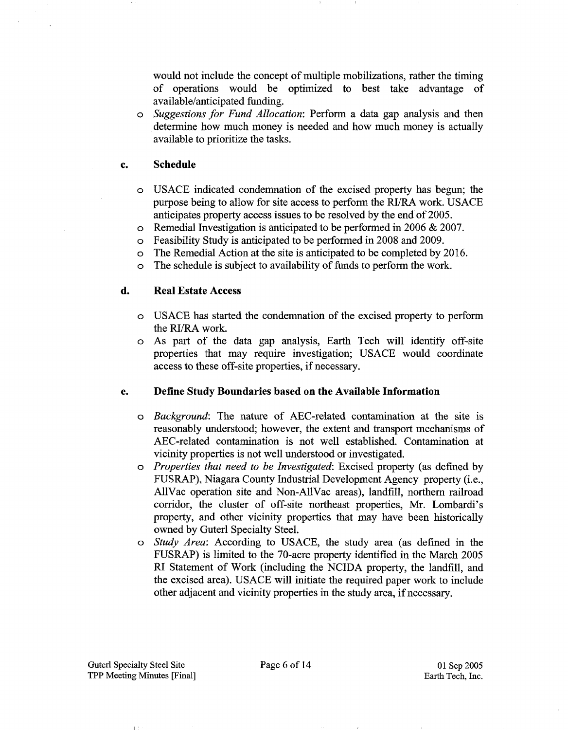would not include the concept of multiple mobilizations, rather the timing of operations would be optimized to best take advantage of available/anticipated funding.

*Suggestions for Fund Allocation:* Perform a data gap analysis and then determine how much money is needed and how much money is actually available to prioritize the tasks.

#### **Schedule**  c.

- USACE indicated condemnation of the excised property has begun; the purpose being to allow for site access to perform the RI/RA work. USACE anticipates property access issues to be resolved by the end of 2005.
- $\circ$ Remedial Investigation is anticipated to be performed in 2006 & 2007.
- Feasibility Study is anticipated to be performed in 2008 and 2009.  $\circ$
- The Remedial Action at the site is anticipated to be completed by 2016.  $\circ$
- The schedule is subject to availability of funds to perform the work.  $\circ$

#### d. **Real Estate Access**

- USACE has started the condemnation of the excised property to perform the RI/RA work.
- As part of the data gap analysis, Earth Tech will identify off-site  $\circ$ properties that may require investigation; USACE would coordinate access to these off-site properties, if necessary.

#### e. **Define Study Boundaries based on the Available Information**

- *Background:* The nature of AEC-related contamination at the site is reasonably understood; however, the extent and transport mechanisms of AEC-related contamination is not well established. Contamination at vicinity properties is not well understood or investigated.
- *Properties that need to be Investigated:* Excised property (as defined by FUSRAP), Niagara County Industrial Development Agency property (i.e., AllVac operation site and Non-A11Vac areas), landfill, northern railroad corridor, the cluster of off-site northeast properties, Mr. Lombardi's property, and other vicinity properties that may have been historically owned by Guterl Specialty Steel.
- *Study Area:* According to USACE, the study area (as defined in the FUSRAP) is limited to the 70-acre property identified in the March 2005 RI Statement of Work (including the NCIDA property, the landfill, and the excised area). USACE will initiate the required paper work to include other adjacent and vicinity properties in the study area, if necessary.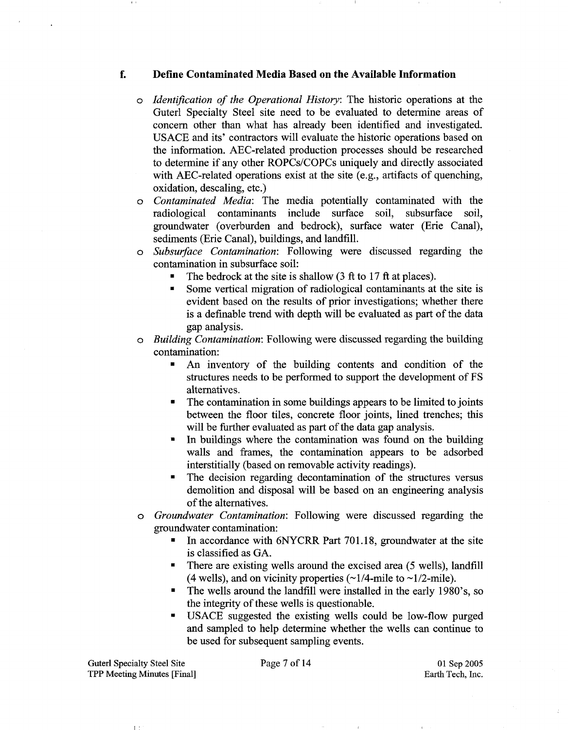### **f. Define Contaminated Media Based on the Available Information**

- $\circ$  Identification of the Operational History: The historic operations at the Guterl Specialty Steel site need to be evaluated to determine areas of concern other than what has already been identified and investigated. USACE and its' contractors will evaluate the historic operations based on the information. AEC-related production processes should be researched to determine if any other ROPCs/COPCs uniquely and directly associated with AEC-related operations exist at the site (e.g., artifacts of quenching, oxidation, descaling, etc.)
- o Contaminated Media: The media potentially contaminated with the radiological contaminants include surface soil, subsurface soil, groundwater (overburden and bedrock), surface water (Erie Canal), sediments (Erie Canal), buildings, and landfill.
- o Subsurface Contamination: Following were discussed regarding the contamination in subsurface soil:
	- The bedrock at the site is shallow (3 ft to 17 ft at places).
	- Some vertical migration of radiological contaminants at the site is  $\blacksquare$ evident based on the results of prior investigations; whether there is a definable trend with depth will be evaluated as part of the data gap analysis.
- o Building Contamination: Following were discussed regarding the building contamination:
	- $\blacksquare$ An inventory of the building contents and condition of the structures needs to be performed to support the development of FS alternatives.
	- The contamination in some buildings appears to be limited to joints between the floor tiles, concrete floor joints, lined trenches; this will be further evaluated as part of the data gap analysis.
	- In buildings where the contamination was found on the building  $\blacksquare$ walls and frames, the contamination appears to be adsorbed interstitially (based on removable activity readings).
	- The decision regarding decontamination of the structures versus  $\blacksquare$ demolition and disposal will be based on an engineering analysis of the alternatives.
- o Groundwater Contamination: Following were discussed regarding the groundwater contamination:
	- In accordance with 6NYCRR Part 701.18, groundwater at the site  $\blacksquare$ is classified as GA.
	- There are existing wells around the excised area (5 wells), landfill (4 wells), and on vicinity properties  $(\sim 1/4$ -mile to  $\sim 1/2$ -mile).
	- The wells around the landfill were installed in the early 1980's, so the integrity of these wells is questionable.
	- USACE suggested the existing wells could be low-flow purged  $\blacksquare$ and sampled to help determine whether the wells can continue to be used for subsequent sampling events.

Guterl Specialty Steel Site TPP Meeting Minutes [Final]

 $\mathbf{L}$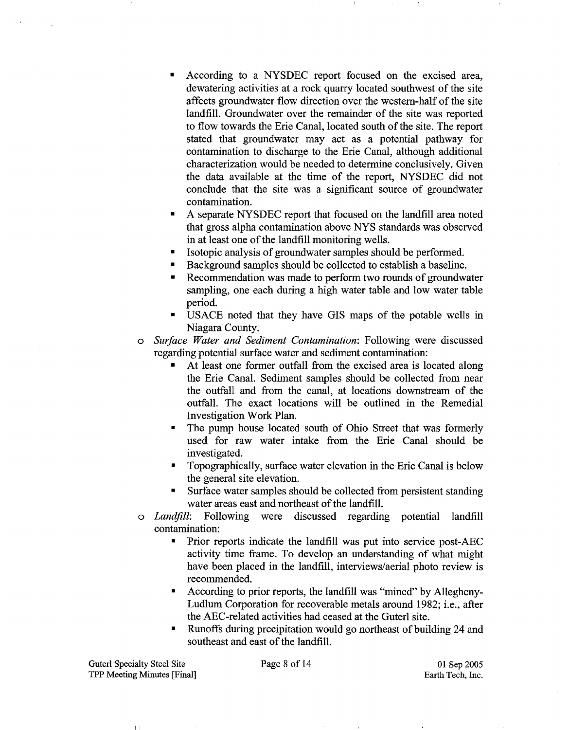- According to a NYSDEC report focused on the excised area, dewatering activities at a rock quarry located southwest of the site affects groundwater flow direction over the westem-half of the site landfill. Groundwater over the remainder of the site was reported to flow towards the Erie Canal, located south of the site. The report stated that groundwater may act as a potential pathway for contamination to discharge to the Erie Canal, although additional characterization would be needed to determine conclusively. Given the data available at the time of the report, NYSDEC did not conclude that the site was a significant source of groundwater contamination.
- A separate NYSDEC report that focused on the landfill area noted that gross alpha contamination above NYS standards was observed in at least one of the landfill monitoring wells.
- Isotopic analysis of groundwater samples should be performed.
- Background samples should be collected to establish a baseline.
- Recommendation was made to perform two rounds of groundwater  $\blacksquare$ sampling, one each during a high water table and low water table period.
- USACE noted that they have GIs maps of the potable wells in Niagara Coumty.
- *o Surface Water and Sediment Contamination:* Following were discussed regarding potential surface water and sediment contamination:
	- At least one former outfall from the excised area is located along the Erie Canal. Sediment samples should be collected from near the outfall and from the canal, at locations downstream of the outfall. The exact locations will be outlined in the Remedial Investigation Work Plan.
	- The pump house located south of Ohio Street that was formerly  $\blacksquare$ used for raw water intake from the Erie Canal should be investigated.
	- Topographically, surface water elevation in the Erie Canal is below the general site elevation.
	- Surface water samples should be collected from persistent standing  $\blacksquare$ water areas east and northeast of the landfill.
- o *Landfill:* Following were discussed regarding potential landfill contamination:
	- Prior reports indicate the landfill was put into service post-AEC  $\blacksquare$ activity time frame. To develop an understanding of what might have been placed in the landfill, interviews/aerial photo review is recommended.
	- According to prior reports, the landfill was "mined" by Allegheny- $\blacksquare$ Ludlum Corporation for recoverable metals around 1982; i.e., after the AEC-related activities had ceased at the Guterl site.
	- Runoffs during precipitation would go northeast of building 24 and southeast and east of the landfill.

Guterl Specialty Steel Site Page **8** of 14 TPP Meeting Minutes [Final]

 $\mathbf{f}$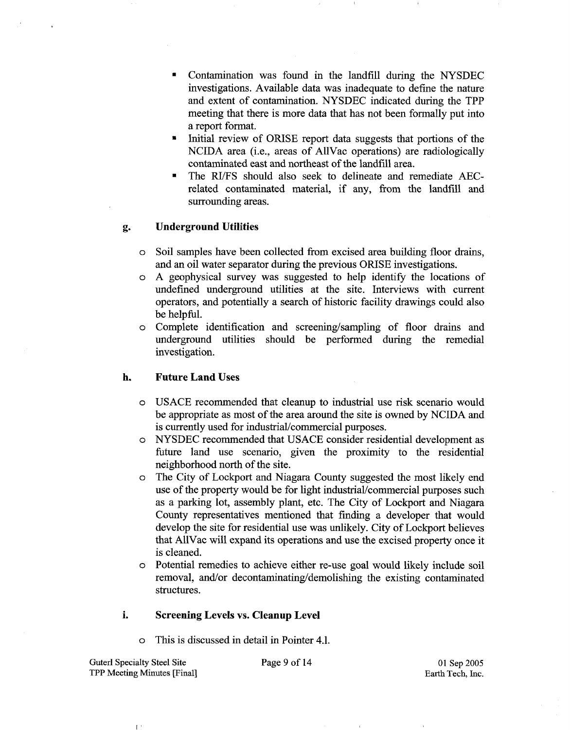- Contamination was found in the landfill during the NYSDEC investigations. Available data was inadequate to define the nature and extent of contamination. NYSDEC indicated during the TPP meeting that there is more data that has not been formally put into a report format.
- Initial review of ORISE report data suggests that portions of the NCIDA area (i.e., areas of AllVac operations) are radiologically contaminated east and northeast of the landfill area.
- The RI/FS should also seek to delineate and remediate AECrelated contaminated material, if any, fiom the landfill and surrounding areas.

### **g. Underground Utilities**

- o Soil samples have keen collected fiom excised area building floor drains, and an oil water separator during the previous ORISE investigations.
- $\circ$  A geophysical survey was suggested to help identify the locations of undefined underground utilities at the site. Interviews with current operators, and potentially a search of historic facility drawings could also be helpful.
- o Complete identification and screening/sampling of floor drains and underground utilities should be performed during the remedial investigation.

### **h. Future Land Uses**

- o USACE recornmen~ded that cleanup to industrial use risk scenario would be appropriate as most of the area around the site is owned by NCIDA and is currently used for industrial/commercial purposes.
- o NYSDEC recommended that USACE consider residential development as future land use scenario, given the proximity to the residential neighborhood north of the site.
- o The City of Lockport and Niagara County suggested the most likely end use of the property would be for light industrial/commercial purposes such as a parking lot, assembly plant, etc. The City of Lockport and Niagara County representatives mentioned that finding a developer that would develop the site for residential use was unlikely. City of Lockport believes that AllVac will expand its operations and use the excised property once it is cleaned.
- o Potential remedies to achieve either re-use goal would likely include soil removal, and/or decontaminating/demolishing the existing contaminated structures.

### **i. Screening Levels vs. Cleanup Level**

This is discussed in detail in Pointer 4.1.

Guterl Specialty Steel Site **Page** 9 of **14**  TPP Meeting Minutes [Final]

01 Sep 2005 Earth Tech, Inc.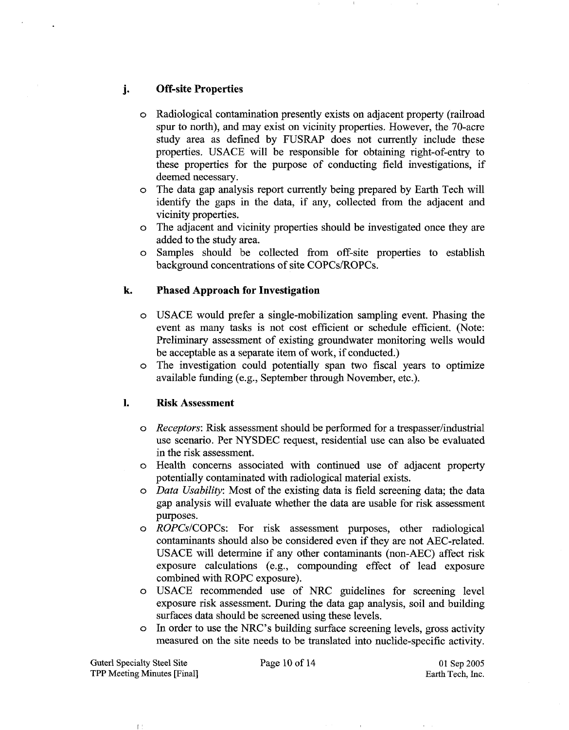# **j- Off-site Properties**

- o Radiological contamination presently exists on adjacent property (railroad spur to north), and may exist on vicinity properties. However, the 70-acre study area as defined by FUSRAP does not currently include these properties. USACE will be responsible for obtaining right-of-entry to these properties for the purpose of conducting field investigations, if deemed necessary.
- o The data gap analysis report currently being prepared by Earth Tech will identify the gaps in the data, if any, collected from the adjacent and vicinity properties.
- o The adjacent and vicinity properties should be investigated once they are added to the study area.
- o Samples should be collected from off-site properties to establish background concentrations of site COPCs/ROPCs.

## **k. Phased Approach for Investigation**

- o USACE would prefer a single-mobilization sampling event. Phasing the event as many tasks is not cost efficient or schedule efficient. (Note: Preliminary assessment of existing groundwater monitoring wells would be acceptable as a separate item of work, if conducted.)
- o The investigation could potentially span two fiscal years to optimize available funding (e.g., September through November, etc.).

## **1. Risk Assessment**

- o Receptors: Risk assessment should be performed for a trespasser/industrial use scenario. Per NYSDEC request, residential use can also be evaluated in the risk assessment.
- o Health concerns associated with continued use of adjacent property potentially contaminated with radiological material exists.
- o Data Usability: Most of the existing data is field screening data; the data gap analysis will evaluate whether the data are usable for risk assessment purposes.
- o ROPCsICOPCs: For risk assessment purposes, other radiological contaminants should also be considered even if they are not AEC-related. USACE will determine if any other contaminants (non-AEC) affect risk exposure calculations (e.g., compounding effect of lead exposure combined with ROPC exposure).
- o USACE recommended use of NRC guidelines for screening level exposure risk assessment. During the data gap analysis, soil and building surfaces data should be screened using these levels.
- o In order to use the IJRC's building surface screening levels, gross activity measured on the site needs to be translated into nuclide-specific activity.

Guterl Specialty Steel Site TPP Meeting Minutes [Final]

 $\mathbb{L}$ 

Page 10 of 14 01 Sep 2005 Earth Tech, Inc.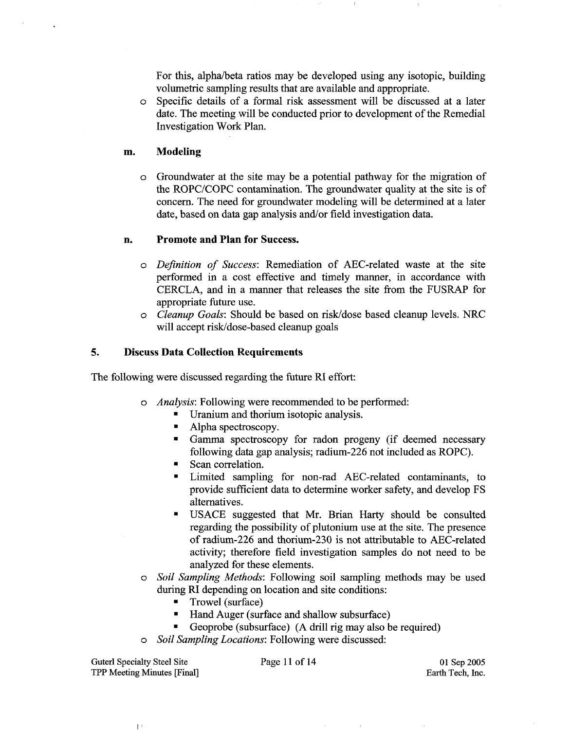For this, alpha/beta ratios may be developed using any isotopic, building volumetric sampling results that are available and appropriate.

o Specific details of a formal risk assessment will be discussed at a later date. The meeting will be conducted prior to development of the Remedial Investigation Work Plan.

### **m. Modeling**

o Groundwater at the site may be a potential pathway for the migration of the ROPC/COPC contamination. The groundwater quality at the site is of concern. The need for groundwater modeling will be determined at a later date, based on data gap analysis and/or field investigation data.

### **n. Promote and Plan for Success.**

- o Definition of Success: Remediation of AEC-related waste at the site performed in a cost effective and timely manner, in accordance with CERCLA, and in a manner that releases the site from the FUSRAP for appropriate future use.
- o Cleanup Goals: Should be based on riskldose based cleanup levels. NRC will accept risk/dose-based cleanup goals

### **5. Discuss Data Collection Requirements**

The following were discussed regarding the future RI effort:

- o Analysis: Following were recommended to be performed:
	- Uranium and thorium isotopic analysis.
	- $\blacksquare$ Alpha spectroscopy.
	- Gamma spectroscopy for radon progeny (if deemed necessary following data gap analysis; radium-226 not included as ROPC).
	- Scan correlation.  $\blacksquare$
	- $\blacksquare$ Limited sampling for non-rad AEC-related contaminants, to provide sufficient data to determine worker safety, and develop FS alternatives.
	- USACE suggested that Mr. Brian Harty should be consulted regarding the possibility of plutonium use at the site. The presence of radium-226 and thorium-230 is not attributable to AEC-related activity; therefore field investigation samples do not need to be analyzed for these elements.
- o Soil Sampling Methods: Following soil sampling methods may be used during RI depending on location and site conditions:
	- $\blacksquare$ Trowel (surface)
	- $\blacksquare$ Hand Auger (surface and shallow subsurface)
	- Geoprobe (subsurface) (A drill rig may also be required)
- Soil Sampling Locations: Following were discussed:

Guterl Specialty Steel Site Page 11 of 14 TPP Meeting Minutes [Final]

 $\mathbb{L}^+$ 

01 Sep 2005 Earth Tech, Inc.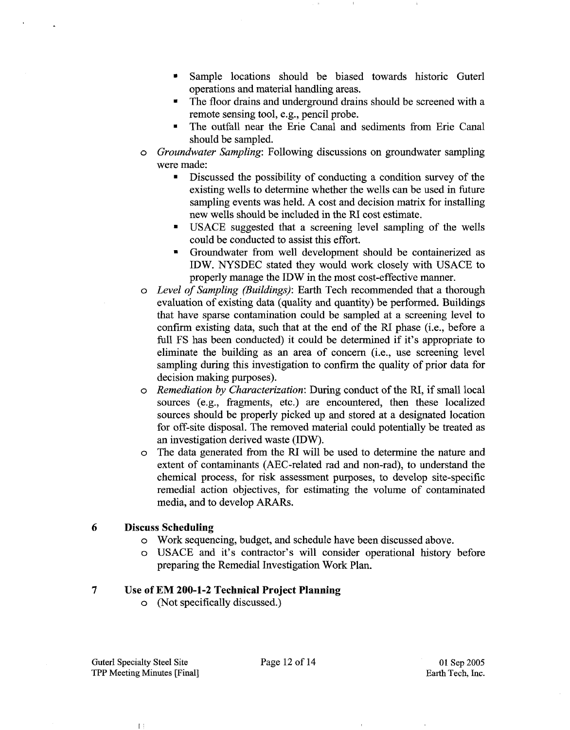- Sample locations should be biased towards historic Guterl operations and material handling areas.
- The floor drains and underground drains should be screened with a remote sensing tool, e.g., pencil probe.
- The outfall near the Erie Canal and sediments from Erie Canal  $\blacksquare$ should be sampled.
- *o Groundwater Sampling:* Following discussions on groundwater sampling were made:
	- $\blacksquare$ Discussed the possibility of conducting a condition survey of the existing wells to determine whether the wells can be used in future sampling events was held. A cost and decision matrix for installing new wells should be included in the RI cost estimate.
	- USACE suggested that a screening level sampling of the wells could be conducted to assist this effort.
	- <sup>=</sup>Groundwater from well development should be containerized as IDW. NYSDEC stated they would work closely with USACE to properly manage the IDW in the most cost-effective manner.
- *o Level of Sampling (Buildings):* Earth Tech recommended that a thorough evaluation of existing data (quality and quantity) be performed. Buildings that have sparse contamination could be sampled at a screening level to confirm existing data, such that at the end of the RI phase (i.e., before a full FS has been conducted) it could be determined if it's appropriate to eliminate the building as an area of concern (i.e., use screening level sampling during this investigation to confirm the quality of prior data for decision making purposes).
- *o Remediation by Characterization:* During conduct of the RI, if small local sources (e.g., fragments, etc.) are encountered, then these localized sources should be properly picked up and stored at a designated location for off-site disposal. The removed material could potentially be treated as an investigation derived waste (IDW).
- o The data generated from the RI will be used to determine the nature and extent of contaminants (AEC-related rad and non-rad), to understand the chemical process, for risk assessment purposes, to develop site-specific remedial action objectives, for estimating the volume of contaminated media, and to develop ARARs.

# **6 Discuss Scheduling**

- o Work sequencing, budget, and schedule have been discussed above.
- o USACE and it's contractor's will consider operational history before preparing the Remedial Investigation Work Plan.

# **7 Use of EM 200-1-2 Technical Project Planning**

o (Not specifically discussed.)

 $\mathbb{L}$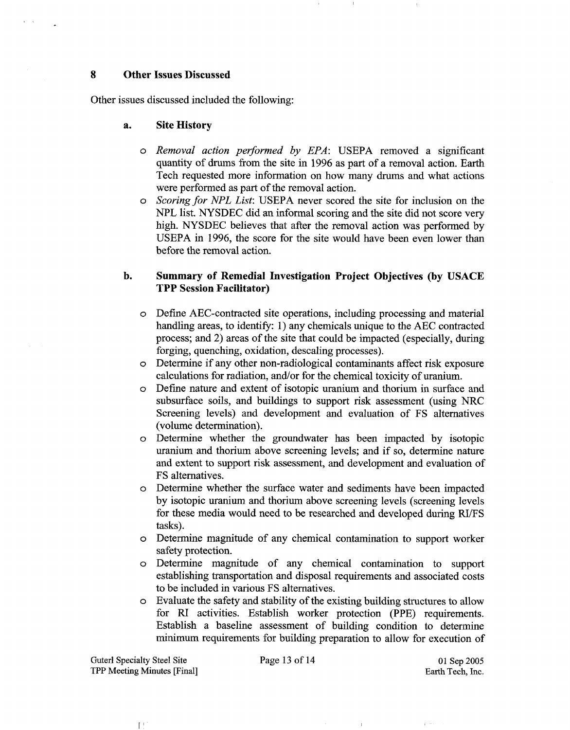### **8 Other Issues Discussed**

Other issues discussed included the following:

### **a. Site History**

- o Removal action performed by EPA: USEPA removed a significant quantity of drums from the site in 1996 as part of a removal action. Earth Tech requested more information on how many drums and what actions were performed as part of the removal action.
- o Scoring **for** NPL List: USEPA never scored the site for inclusion on the NPL list. NYSDEC did an informal scoring and the site did not score very high. NYSDEC believes that after the removal action was performed by USEPA in 1996, the score for the site would have been even lower than before the removal action.

## **b. Summary of Remedial Investigation Project Objectives (by USACE TPP Session Facilitator)**

- Define AEC-contracted site operations, including processing and material  $\circ$ handling areas, to identify: 1) any chemicals unique to the AEC contracted process; and 2) areas of the site that could be impacted (especially, during forging, quenching, oxidation, descaling processes).
- Determine if any other non-radiological contaminants affect risk exposure  $\circ$ calculations for radiation, and/or for the chemical toxicity of uranium.
- Define nature and extent of isotopic uranium and thorium in surface and  $\circ$ subsurface soils, and buildings to support risk assessment (using NRC Screening levels) and development and evaluation of FS alternatives (volume determination).
- Determine whether the groundwater has been impacted by isotopic  $\circ$ uranium and thorium above screening levels; and if so, determine nature and extent to support risk assessment, and development and evaluation of FS alternatives.
- Determine whether the surface water and sediments have been impacted  $\Omega$ by isotopic uranium. and thorium above screening levels (screening levels for these media would need to be researched and developed during RVFS tasks).
- Determine magnitude of any chemical contamination to support worker  $\circ$ safety protection.
- Determine magnitude of any chemical contamination to support  $\circ$ establishing transportation and disposal requirements and associated costs to be included in various FS alternatives.
- Evaluate the safety and stability of the existing building structures to allow  $\circ$ for RI activities. Establish worker protection (PPE) requirements. Establish a baseline assessment of building condition to determine minimum requirements for building preparation to allow for execution of

 $\mathbf{r}$ 

 $\mathbb{R}^+$